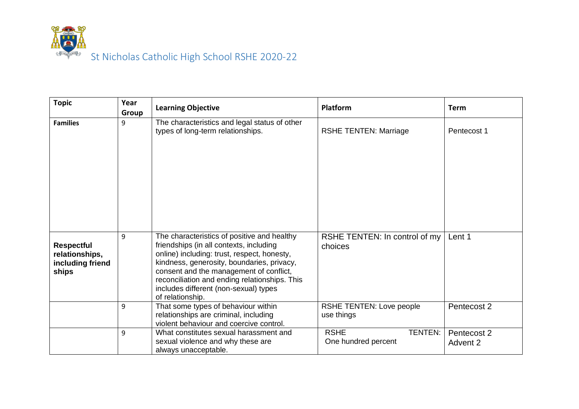

| <b>Topic</b>                                                     | Year<br>Group | <b>Learning Objective</b>                                                                                                                                                                                                                                                                                                                    | Platform                                             | <b>Term</b>             |
|------------------------------------------------------------------|---------------|----------------------------------------------------------------------------------------------------------------------------------------------------------------------------------------------------------------------------------------------------------------------------------------------------------------------------------------------|------------------------------------------------------|-------------------------|
| <b>Families</b>                                                  | 9             | The characteristics and legal status of other<br>types of long-term relationships.                                                                                                                                                                                                                                                           | <b>RSHE TENTEN: Marriage</b>                         | Pentecost 1             |
| <b>Respectful</b><br>relationships,<br>including friend<br>ships | 9             | The characteristics of positive and healthy<br>friendships (in all contexts, including<br>online) including: trust, respect, honesty,<br>kindness, generosity, boundaries, privacy,<br>consent and the management of conflict,<br>reconciliation and ending relationships. This<br>includes different (non-sexual) types<br>of relationship. | RSHE TENTEN: In control of my<br>choices             | Lent 1                  |
|                                                                  | 9             | That some types of behaviour within<br>relationships are criminal, including<br>violent behaviour and coercive control.                                                                                                                                                                                                                      | RSHE TENTEN: Love people<br>use things               | Pentecost 2             |
|                                                                  | 9             | What constitutes sexual harassment and<br>sexual violence and why these are<br>always unacceptable.                                                                                                                                                                                                                                          | <b>RSHE</b><br><b>TENTEN:</b><br>One hundred percent | Pentecost 2<br>Advent 2 |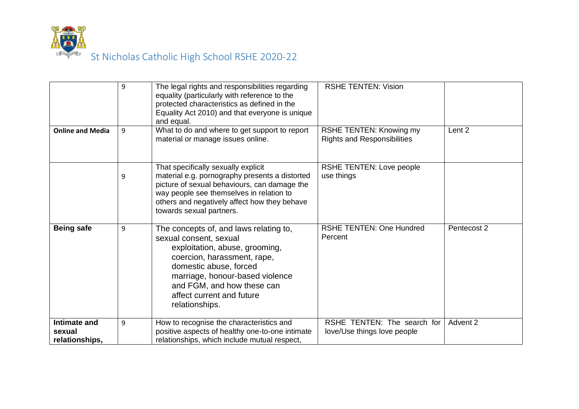

| <b>Online and Media</b>  | 9<br>9 | The legal rights and responsibilities regarding<br>equality (particularly with reference to the<br>protected characteristics as defined in the<br>Equality Act 2010) and that everyone is unique<br>and equal.<br>What to do and where to get support to report<br>material or manage issues online. | <b>RSHE TENTEN: Vision</b><br>RSHE TENTEN: Knowing my<br><b>Rights and Responsibilities</b> | Lent 2      |
|--------------------------|--------|------------------------------------------------------------------------------------------------------------------------------------------------------------------------------------------------------------------------------------------------------------------------------------------------------|---------------------------------------------------------------------------------------------|-------------|
|                          | 9      | That specifically sexually explicit<br>material e.g. pornography presents a distorted<br>picture of sexual behaviours, can damage the<br>way people see themselves in relation to<br>others and negatively affect how they behave<br>towards sexual partners.                                        | RSHE TENTEN: Love people<br>use things                                                      |             |
| <b>Being safe</b>        | 9      | The concepts of, and laws relating to,<br>sexual consent, sexual<br>exploitation, abuse, grooming,<br>coercion, harassment, rape,<br>domestic abuse, forced<br>marriage, honour-based violence<br>and FGM, and how these can<br>affect current and future<br>relationships.                          | <b>RSHE TENTEN: One Hundred</b><br>Percent                                                  | Pentecost 2 |
| Intimate and             | 9      | How to recognise the characteristics and                                                                                                                                                                                                                                                             | RSHE TENTEN: The search for                                                                 | Advent 2    |
| sexual<br>relationships, |        | positive aspects of healthy one-to-one intimate<br>relationships, which include mutual respect,                                                                                                                                                                                                      | love/Use things love people                                                                 |             |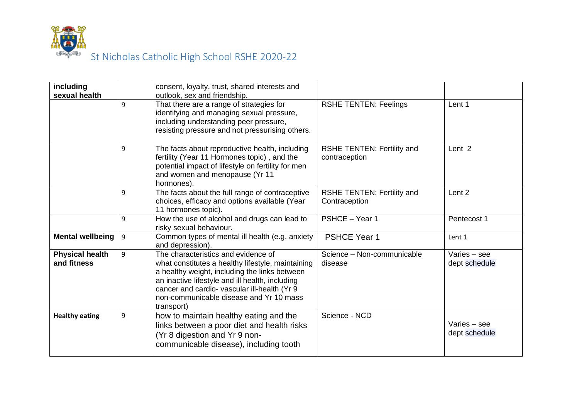

| including                             |   | consent, loyalty, trust, shared interests and                                                                                                                                                                                                                                                         |                                                    |                                 |
|---------------------------------------|---|-------------------------------------------------------------------------------------------------------------------------------------------------------------------------------------------------------------------------------------------------------------------------------------------------------|----------------------------------------------------|---------------------------------|
| sexual health                         | 9 | outlook, sex and friendship.<br>That there are a range of strategies for<br>identifying and managing sexual pressure,<br>including understanding peer pressure,<br>resisting pressure and not pressurising others.                                                                                    | <b>RSHE TENTEN: Feelings</b>                       | Lent 1                          |
|                                       | 9 | The facts about reproductive health, including<br>fertility (Year 11 Hormones topic), and the<br>potential impact of lifestyle on fertility for men<br>and women and menopause (Yr 11<br>hormones).                                                                                                   | <b>RSHE TENTEN: Fertility and</b><br>contraception | Lent <sub>2</sub>               |
|                                       | 9 | The facts about the full range of contraceptive<br>choices, efficacy and options available (Year<br>11 hormones topic).                                                                                                                                                                               | RSHE TENTEN: Fertility and<br>Contraception        | Lent <sub>2</sub>               |
|                                       | 9 | How the use of alcohol and drugs can lead to<br>risky sexual behaviour.                                                                                                                                                                                                                               | PSHCE - Year 1                                     | Pentecost 1                     |
| Mental wellbeing                      | 9 | Common types of mental ill health (e.g. anxiety<br>and depression).                                                                                                                                                                                                                                   | <b>PSHCE Year 1</b>                                | Lent 1                          |
| <b>Physical health</b><br>and fitness | 9 | The characteristics and evidence of<br>what constitutes a healthy lifestyle, maintaining<br>a healthy weight, including the links between<br>an inactive lifestyle and ill health, including<br>cancer and cardio- vascular ill-health (Yr 9<br>non-communicable disease and Yr 10 mass<br>transport) | Science - Non-communicable<br>disease              | Varies - see<br>dept schedule   |
| <b>Healthy eating</b>                 | 9 | how to maintain healthy eating and the<br>links between a poor diet and health risks<br>(Yr 8 digestion and Yr 9 non-<br>communicable disease), including tooth                                                                                                                                       | Science - NCD                                      | Varies $-$ see<br>dept schedule |